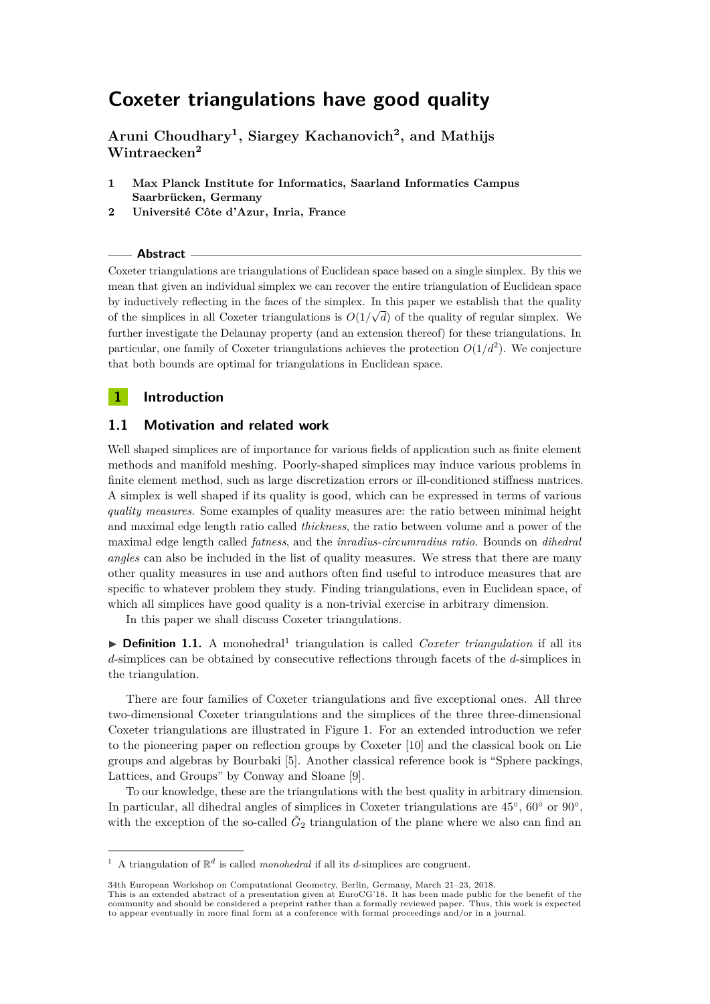# **Coxeter triangulations have good quality**

**Aruni Choudhary<sup>1</sup> , Siargey Kachanovich<sup>2</sup> , and Mathijs Wintraecken<sup>2</sup>**

- **1 Max Planck Institute for Informatics, Saarland Informatics Campus Saarbrücken, Germany**
- **2 Université Côte d'Azur, Inria, France**

**Abstract**

Coxeter triangulations are triangulations of Euclidean space based on a single simplex. By this we mean that given an individual simplex we can recover the entire triangulation of Euclidean space by inductively reflecting in the faces of the simplex. In this paper we establish that the quality  $\overline{a}$ of the simplices in all Coxeter triangulations is  $O(1/\sqrt{d})$  of the quality of regular simplex. We further investigate the Delaunay property (and an extension thereof) for these triangulations. In particular, one family of Coxeter triangulations achieves the protection  $O(1/d^2)$ . We conjecture that both bounds are optimal for triangulations in Euclidean space.

## **1 Introduction**

# **1.1 Motivation and related work**

Well shaped simplices are of importance for various fields of application such as finite element methods and manifold meshing. Poorly-shaped simplices may induce various problems in finite element method, such as large discretization errors or ill-conditioned stiffness matrices. A simplex is well shaped if its quality is good, which can be expressed in terms of various *quality measures*. Some examples of quality measures are: the ratio between minimal height and maximal edge length ratio called *thickness*, the ratio between volume and a power of the maximal edge length called *fatness*, and the *inradius-circumradius ratio*. Bounds on *dihedral angles* can also be included in the list of quality measures. We stress that there are many other quality measures in use and authors often find useful to introduce measures that are specific to whatever problem they study. Finding triangulations, even in Euclidean space, of which all simplices have good quality is a non-trivial exercise in arbitrary dimension.

In this paper we shall discuss Coxeter triangulations.

**Definition [1](#page-0-0).1.** A monohedral<sup>1</sup> triangulation is called *Coxeter triangulation* if all its *d*-simplices can be obtained by consecutive reflections through facets of the *d*-simplices in the triangulation.

There are four families of Coxeter triangulations and five exceptional ones. All three two-dimensional Coxeter triangulations and the simplices of the three three-dimensional Coxeter triangulations are illustrated in Figure [1.](#page-1-0) For an extended introduction we refer to the pioneering paper on reflection groups by Coxeter [\[10\]](#page-5-0) and the classical book on Lie groups and algebras by Bourbaki [\[5\]](#page-5-1). Another classical reference book is "Sphere packings, Lattices, and Groups" by Conway and Sloane [\[9\]](#page-5-2).

To our knowledge, these are the triangulations with the best quality in arbitrary dimension. In particular, all dihedral angles of simplices in Coxeter triangulations are 45°, 60° or 90°, with the exception of the so-called  $\tilde{G}_2$  triangulation of the plane where we also can find an

<span id="page-0-0"></span><sup>&</sup>lt;sup>1</sup> A triangulation of  $\mathbb{R}^d$  is called *monohedral* if all its *d*-simplices are congruent.

<sup>34</sup>th European Workshop on Computational Geometry, Berlin, Germany, March 21–23, 2018.

This is an extended abstract of a presentation given at EuroCG'18. It has been made public for the benefit of the<br>community and should be considered a preprint rather than a formally reviewed paper. Thus, this work is expe to appear eventually in more final form at a conference with formal proceedings and/or in a journal.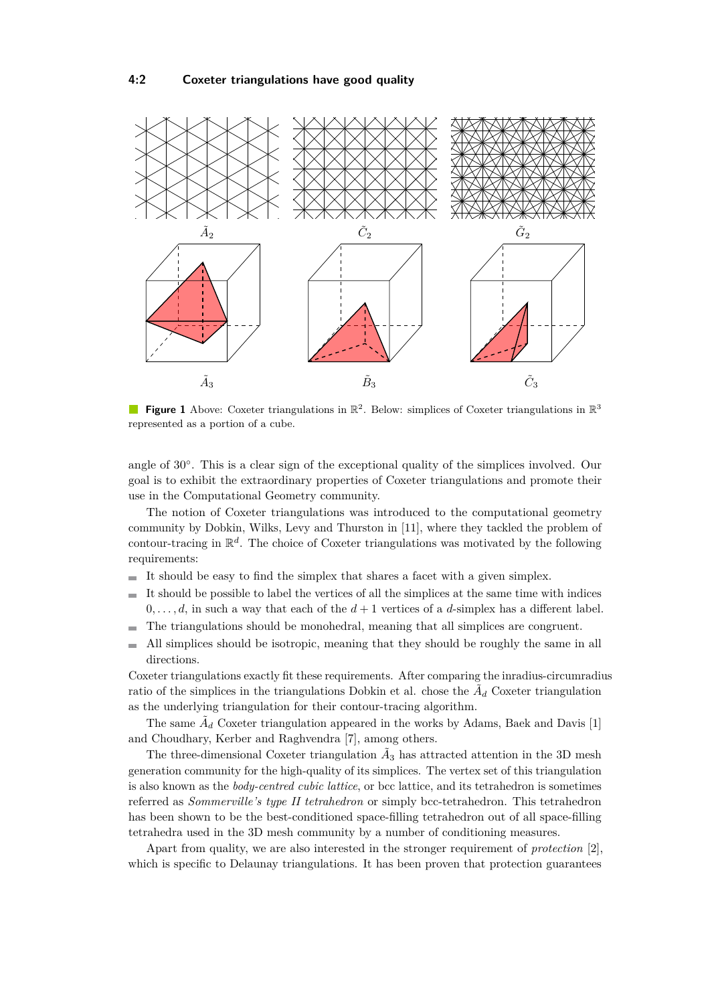<span id="page-1-0"></span>

**Figure 1** Above: Coxeter triangulations in  $\mathbb{R}^2$ . Below: simplices of Coxeter triangulations in  $\mathbb{R}^3$ represented as a portion of a cube.

angle of 30°. This is a clear sign of the exceptional quality of the simplices involved. Our goal is to exhibit the extraordinary properties of Coxeter triangulations and promote their use in the Computational Geometry community.

The notion of Coxeter triangulations was introduced to the computational geometry community by Dobkin, Wilks, Levy and Thurston in [\[11\]](#page-5-3), where they tackled the problem of contour-tracing in R *d* . The choice of Coxeter triangulations was motivated by the following requirements:

- It should be easy to find the simplex that shares a facet with a given simplex.  $\blacksquare$
- It should be possible to label the vertices of all the simplices at the same time with indices  $\blacksquare$  $0, \ldots, d$ , in such a way that each of the  $d+1$  vertices of a *d*-simplex has a different label.
- The triangulations should be monohedral, meaning that all simplices are congruent. ۰
- All simplices should be isotropic, meaning that they should be roughly the same in all  $\overline{\phantom{a}}$ directions.

Coxeter triangulations exactly fit these requirements. After comparing the inradius-circumradius ratio of the simplices in the triangulations Dobkin et al. chose the  $\tilde{A}_d$  Coxeter triangulation as the underlying triangulation for their contour-tracing algorithm.

The same  $\tilde{A}_d$  Coxeter triangulation appeared in the works by Adams, Baek and Davis [\[1\]](#page-5-4) and Choudhary, Kerber and Raghvendra [\[7\]](#page-5-5), among others.

The three-dimensional Coxeter triangulation  $\tilde{A}_3$  has attracted attention in the 3D mesh generation community for the high-quality of its simplices. The vertex set of this triangulation is also known as the *body-centred cubic lattice*, or bcc lattice, and its tetrahedron is sometimes referred as *Sommerville's type II tetrahedron* or simply bcc-tetrahedron. This tetrahedron has been shown to be the best-conditioned space-filling tetrahedron out of all space-filling tetrahedra used in the 3D mesh community by a number of conditioning measures.

Apart from quality, we are also interested in the stronger requirement of *protection* [\[2\]](#page-5-6), which is specific to Delaunay triangulations. It has been proven that protection guarantees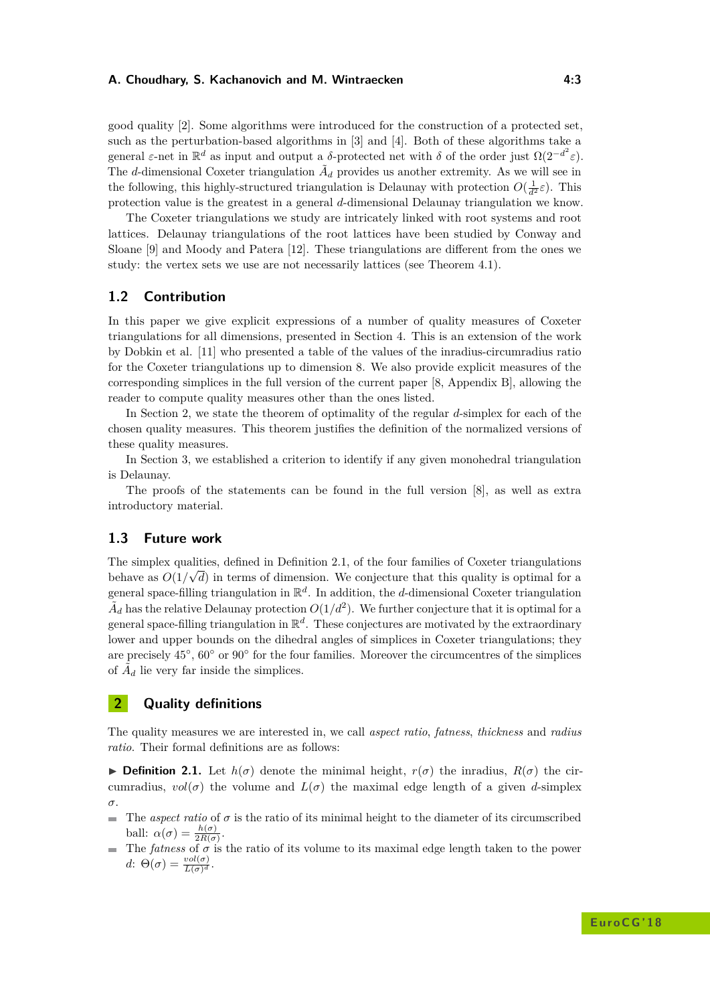#### **A. Choudhary, S. Kachanovich and M. Wintraecken 4:3**

good quality [\[2\]](#page-5-6). Some algorithms were introduced for the construction of a protected set, such as the perturbation-based algorithms in [\[3\]](#page-5-7) and [\[4\]](#page-5-8). Both of these algorithms take a general  $\varepsilon$ -net in  $\mathbb{R}^d$  as input and output a *δ*-protected net with *δ* of the order just  $\Omega(2^{-d^2}\varepsilon)$ . The *d*-dimensional Coxeter triangulation  $\tilde{A}_d$  provides us another extremity. As we will see in the following, this highly-structured triangulation is Delaunay with protection  $O(\frac{1}{d^2}\varepsilon)$ . This protection value is the greatest in a general *d*-dimensional Delaunay triangulation we know.

The Coxeter triangulations we study are intricately linked with root systems and root lattices. Delaunay triangulations of the root lattices have been studied by Conway and Sloane [\[9\]](#page-5-2) and Moody and Patera [\[12\]](#page-5-9). These triangulations are different from the ones we study: the vertex sets we use are not necessarily lattices (see Theorem [4.1\)](#page-4-0).

### **1.2 Contribution**

In this paper we give explicit expressions of a number of quality measures of Coxeter triangulations for all dimensions, presented in Section [4.](#page-4-1) This is an extension of the work by Dobkin et al. [\[11\]](#page-5-3) who presented a table of the values of the inradius-circumradius ratio for the Coxeter triangulations up to dimension 8. We also provide explicit measures of the corresponding simplices in the full version of the current paper [\[8,](#page-5-10) Appendix B], allowing the reader to compute quality measures other than the ones listed.

In Section [2,](#page-2-0) we state the theorem of optimality of the regular *d*-simplex for each of the chosen quality measures. This theorem justifies the definition of the normalized versions of these quality measures.

In Section [3,](#page-3-0) we established a criterion to identify if any given monohedral triangulation is Delaunay.

The proofs of the statements can be found in the full version [\[8\]](#page-5-10), as well as extra introductory material.

#### **1.3 Future work**

The simplex qualities, defined in Definition [2.1,](#page-2-1) of the four families of Coxeter triangulations behave as  $O(1/\sqrt{d})$  in terms of dimension. We conjecture that this quality is optimal for a general space-filling triangulation in  $\mathbb{R}^d$ . In addition, the *d*-dimensional Coxeter triangulation  $\tilde{A}_d$  has the relative Delaunay protection  $O(1/d^2)$ . We further conjecture that it is optimal for a general space-filling triangulation in  $\mathbb{R}^d$ . These conjectures are motivated by the extraordinary lower and upper bounds on the dihedral angles of simplices in Coxeter triangulations; they are precisely  $45^{\circ}$ ,  $60^{\circ}$  or  $90^{\circ}$  for the four families. Moreover the circumcentres of the simplices of  $\tilde{A}_d$  lie very far inside the simplices.

## <span id="page-2-0"></span>**2 Quality definitions**

The quality measures we are interested in, we call *aspect ratio*, *fatness*, *thickness* and *radius ratio*. Their formal definitions are as follows:

<span id="page-2-1"></span>**If Definition 2.1.** Let  $h(\sigma)$  denote the minimal height,  $r(\sigma)$  the inradius,  $R(\sigma)$  the circumradius,  $vol(\sigma)$  the volume and  $L(\sigma)$  the maximal edge length of a given *d*-simplex *σ*.

- The *aspect ratio* of *σ* is the ratio of its minimal height to the diameter of its circumscribed  $\mathbf{r}$ ball:  $\alpha(\sigma) = \frac{h(\sigma)}{2R(\sigma)}$ .
- The *fatness* of  $\sigma$  is the ratio of its volume to its maximal edge length taken to the power  $d$ :  $\Theta(\sigma) = \frac{vol(\sigma)}{L(\sigma)^d}$ .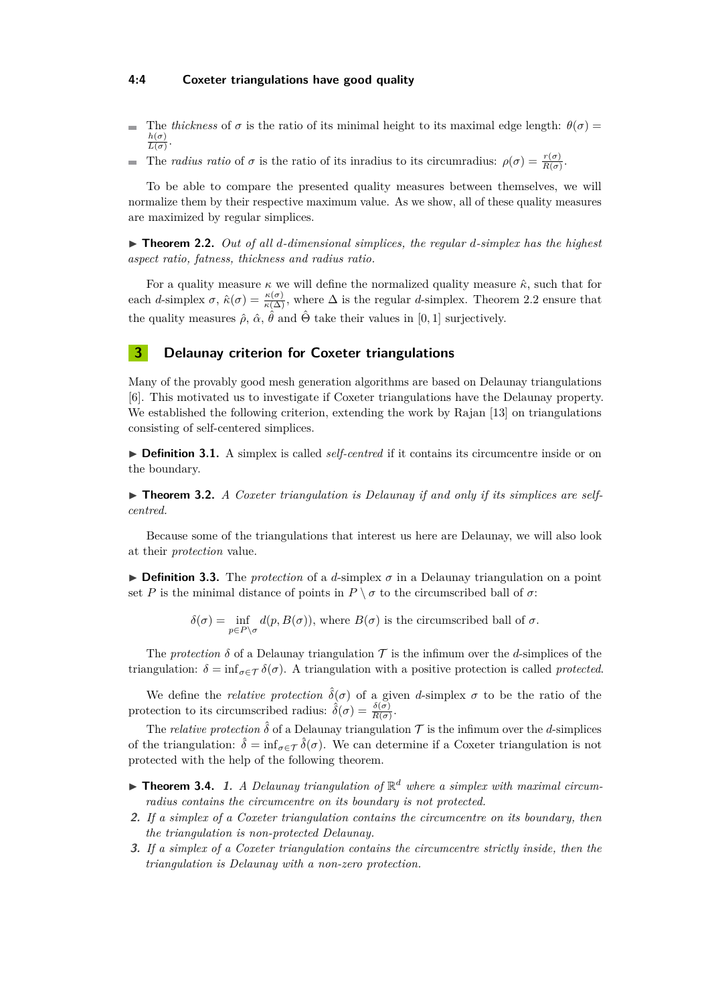#### **4:4 Coxeter triangulations have good quality**

- The *thickness* of  $\sigma$  is the ratio of its minimal height to its maximal edge length:  $\theta(\sigma)$  = ÷  $h(\sigma)$  $\frac{n(\sigma)}{L(\sigma)}$ .
- The *radius ratio* of *σ* is the ratio of its inradius to its circumradius:  $\rho(\sigma) = \frac{r(\sigma)}{R(\sigma)}$ .  $\blacksquare$

To be able to compare the presented quality measures between themselves, we will normalize them by their respective maximum value. As we show, all of these quality measures are maximized by regular simplices.

<span id="page-3-1"></span>▶ **Theorem 2.2.** *Out of all d-dimensional simplices, the regular d-simplex has the highest aspect ratio, fatness, thickness and radius ratio.*

For a quality measure  $\kappa$  we will define the normalized quality measure  $\hat{\kappa}$ , such that for each *d*-simplex  $\sigma$ ,  $\hat{\kappa}(\sigma) = \frac{\kappa(\sigma)}{\kappa(\Delta)}$ , where  $\Delta$  is the regular *d*-simplex. Theorem [2.2](#page-3-1) ensure that the quality measures  $\hat{\rho}$ ,  $\hat{\alpha}$ ,  $\hat{\theta}$  and  $\hat{\Theta}$  take their values in [0, 1] surjectively.

## <span id="page-3-0"></span>**3 Delaunay criterion for Coxeter triangulations**

Many of the provably good mesh generation algorithms are based on Delaunay triangulations [\[6\]](#page-5-11). This motivated us to investigate if Coxeter triangulations have the Delaunay property. We established the following criterion, extending the work by Rajan [\[13\]](#page-5-12) on triangulations consisting of self-centered simplices.

▶ **Definition 3.1.** A simplex is called *self-centred* if it contains its circumcentre inside or on the boundary.

▶ **Theorem 3.2.** *A Coxeter triangulation is Delaunay if and only if its simplices are selfcentred.*

Because some of the triangulations that interest us here are Delaunay, we will also look at their *protection* value.

**Definition 3.3.** The *protection* of a *d*-simplex  $\sigma$  in a Delaunay triangulation on a point set *P* is the minimal distance of points in  $P \setminus \sigma$  to the circumscribed ball of  $\sigma$ :

 $\delta(\sigma) = \inf_{p \in P \setminus \sigma} d(p, B(\sigma))$ , where  $B(\sigma)$  is the circumscribed ball of  $\sigma$ .

The *protection*  $\delta$  of a Delaunay triangulation  $\mathcal T$  is the infimum over the *d*-simplices of the triangulation:  $\delta = \inf_{\sigma \in \mathcal{T}} \delta(\sigma)$ . A triangulation with a positive protection is called *protected*.

We define the *relative protection*  $\hat{\delta}(\sigma)$  of a given *d*-simplex  $\sigma$  to be the ratio of the protection to its circumscribed radius:  $\hat{\delta}(\sigma) = \frac{\delta(\sigma)}{R(\sigma)}$ .

The *relative protection*  $\hat{\delta}$  of a Delaunay triangulation  $\mathcal{T}$  is the infimum over the *d*-simplices of the triangulation:  $\hat{\delta} = \inf_{\sigma \in \mathcal{T}} \hat{\delta}(\sigma)$ . We can determine if a Coxeter triangulation is not protected with the help of the following theorem.

- **Theorem 3.4.** 1. A Delaunay triangulation of  $\mathbb{R}^d$  where a simplex with maximal circum*radius contains the circumcentre on its boundary is not protected.*
- **2.** *If a simplex of a Coxeter triangulation contains the circumcentre on its boundary, then the triangulation is non-protected Delaunay.*
- **3.** *If a simplex of a Coxeter triangulation contains the circumcentre strictly inside, then the triangulation is Delaunay with a non-zero protection.*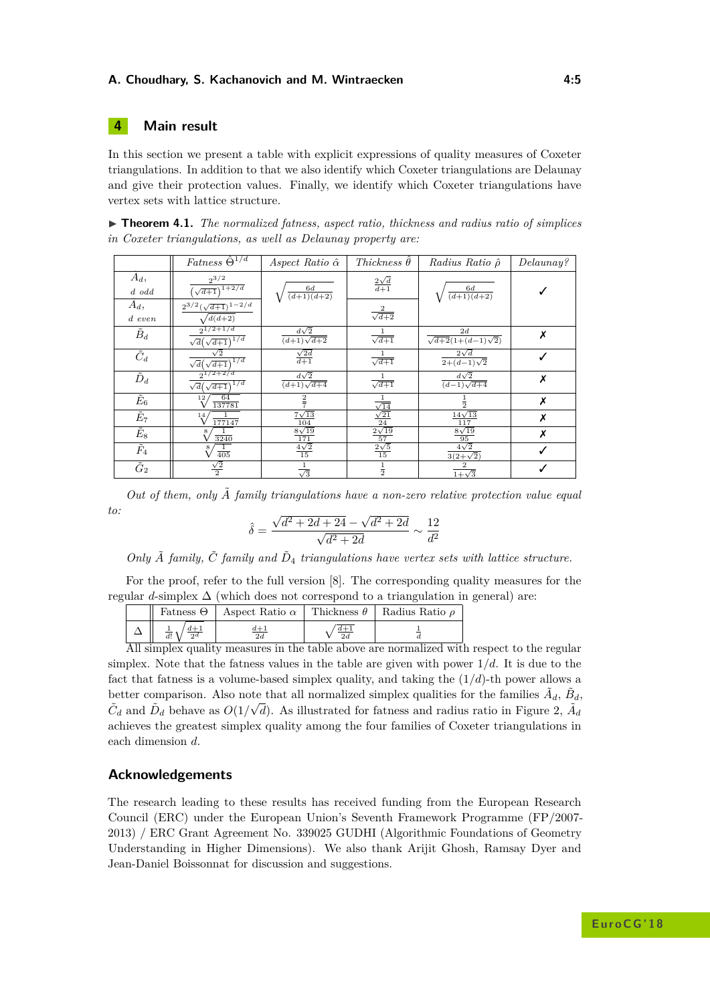#### **A. Choudhary, S. Kachanovich and M. Wintraecken 4:5**

## <span id="page-4-1"></span>**4 Main result**

In this section we present a table with explicit expressions of quality measures of Coxeter triangulations. In addition to that we also identify which Coxeter triangulations are Delaunay and give their protection values. Finally, we identify which Coxeter triangulations have vertex sets with lattice structure.

<span id="page-4-0"></span>

|  | $\triangleright$ Theorem 4.1. The normalized fatness, aspect ratio, thickness and radius ratio of simplices |  |  |  |  |  |
|--|-------------------------------------------------------------------------------------------------------------|--|--|--|--|--|
|  | in Coxeter triangulations, as well as Delaunay property are:                                                |  |  |  |  |  |

|                          | $Fatness \widehat{\Theta}^{1/d}$                                 | Aspect Ratio $\hat{\alpha}$         | Thickness $\theta$                                                         | Radius Ratio $\hat{\rho}$           | Delaunay? |
|--------------------------|------------------------------------------------------------------|-------------------------------------|----------------------------------------------------------------------------|-------------------------------------|-----------|
| $A_d$ ,<br>$d$ odd       | $2^{3/2}$<br>$(\sqrt{d+1})^{1+2/d}$                              | $\frac{6d}{(d+1)(d+2)}$             | $rac{2\sqrt{d}}{d+1}$                                                      | $\frac{6d}{(d+1)(d+2)}$             |           |
| $A_d$ ,<br>$d$ even      | $2^{3/2}(\sqrt{d+1})^{1-2/d}$<br>$\sqrt{d(d+2)}$                 |                                     | $\frac{2}{\sqrt{d+2}}$                                                     |                                     |           |
| $\tilde{B}_d$            | $2^{1/2+1/d}$<br>$\sqrt{d}(\sqrt{d+1})^{1/d}$                    | $\frac{d\sqrt{2}}{(d+1)\sqrt{d+2}}$ | $\frac{1}{\sqrt{d+1}}$                                                     | 2d<br>$\sqrt{d+2}(1+(d-1)\sqrt{2})$ | Х         |
| $\overline{\tilde{C}_d}$ | $\sqrt{2}$<br>$\sqrt{d}\left(\overline{\sqrt{d+1}}\right)^{1/d}$ | $\frac{\sqrt{2d}}{d+1}$             | $\frac{1}{\sqrt{d+1}}$                                                     | $\frac{2\sqrt{d}}{2+(d-1)\sqrt{2}}$ |           |
| $\tilde{D}_d$            | $2^{1/2+2/d}$<br>$\sqrt{d}(\sqrt{d+1})^{1/d}$                    | $\frac{d\sqrt{2}}{(d+1)\sqrt{d+4}}$ | $\frac{1}{\sqrt{d+1}}$                                                     | $\frac{d\sqrt{2}}{(d-1)\sqrt{d+4}}$ | Х         |
| $\tilde E_6$             | 64<br>$12 \overline{ }$<br>137781                                |                                     |                                                                            |                                     | Х         |
| $\tilde E_7$             | $^{14}$<br>$\frac{1}{177147}$                                    | $\frac{7\sqrt{13}}{104}$            | $\frac{\frac{1}{\sqrt{14}}}{\frac{\sqrt{21}}{24}}$ $\frac{2\sqrt{19}}{57}$ | $\frac{14\sqrt{13}}{117}$           | Х         |
| $\tilde{E}_8$            | $rac{1}{3240}$                                                   | $\frac{8\sqrt{19}}{171}$            |                                                                            | $\frac{8\sqrt{19}}{95}$             | Х         |
| $\tilde{F}_4$            | $rac{1}{405}$                                                    | $\frac{4\sqrt{2}}{15}$              | $\frac{2\sqrt{5}}{15}$                                                     | $4\sqrt{2}$<br>$3(2+\sqrt{2})$      |           |
| $\tilde{G}_2$            | $\frac{\sqrt{2}}{2}$                                             | $\overline{\sqrt{3}}$               | $\frac{1}{2}$                                                              | $\frac{1}{1+\sqrt{3}}$              |           |

*Out of them, only A*˜ *family triangulations have a non-zero relative protection value equal to:* √ √

$$
\hat{\delta} = \frac{\sqrt{d^2 + 2d + 24 - \sqrt{d^2 + 2d}}}{\sqrt{d^2 + 2d}} \sim \frac{12}{d^2}
$$

Only  $\tilde{A}$  *family,*  $\tilde{C}$  *family and*  $\tilde{D}_4$  *triangulations have vertex sets with lattice structure.* 

For the proof, refer to the full version [\[8\]](#page-5-10). The corresponding quality measures for the regular  $d$ -simplex  $\Delta$  (which does not correspond to a triangulation in general) are:

|                               | Fatness $\Theta$   Aspect Ratio $\alpha$ | Thickness $\theta$ | Radius Ratio $\rho$ |
|-------------------------------|------------------------------------------|--------------------|---------------------|
| $\overline{d!}$ 1<br>$\alpha$ | $\frac{d+1}{2d}$                         | $d+1$              |                     |

All simplex quality measures in the table above are normalized with respect to the regular simplex. Note that the fatness values in the table are given with power  $1/d$ . It is due to the fact that fatness is a volume-based simplex quality, and taking the  $(1/d)$ -th power allows a better comparison. Also note that all normalized simplex qualities for the families  $\tilde{A}_d$ ,  $\tilde{B}_d$ ,  $\tilde{C}_d$  and  $\tilde{D}_d$  behave as  $O(1/\sqrt{d})$ . As illustrated for fatness and radius ratio in Figure [2,](#page-5-13)  $\tilde{A}_d$ achieves the greatest simplex quality among the four families of Coxeter triangulations in each dimension *d*.

## **Acknowledgements**

The research leading to these results has received funding from the European Research Council (ERC) under the European Union's Seventh Framework Programme (FP/2007- 2013) / ERC Grant Agreement No. 339025 GUDHI (Algorithmic Foundations of Geometry Understanding in Higher Dimensions). We also thank Arijit Ghosh, Ramsay Dyer and Jean-Daniel Boissonnat for discussion and suggestions.